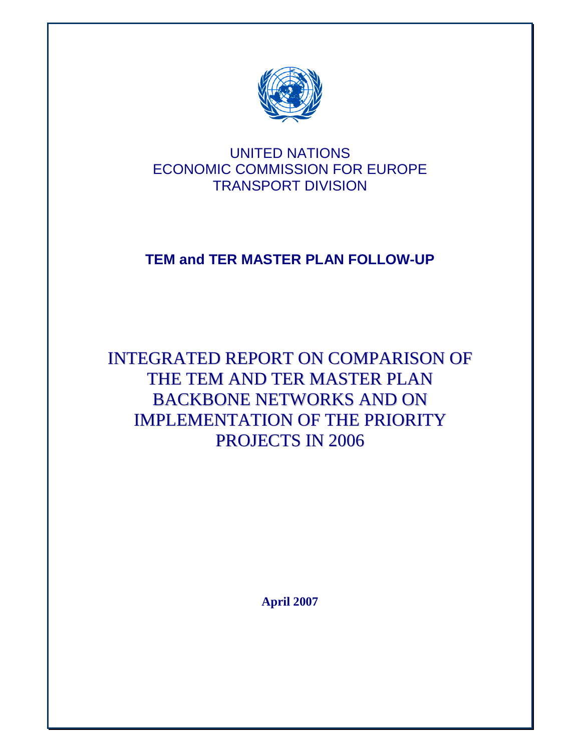

## UNITED NATIONS ECONOMIC COMMISSION FOR EUROPE TRANSPORT DIVISION

# **TEM and TER MASTER PLAN FOLLOW-UP**

INTEGRATED REPORT ON COMPARISON OF THE TEM AND TER MASTER PLAN BACKBONE NETWORKS AND ON IMPLEMENTATION OF THE PRIORITY PROJECTS IN 2006

**April 2007**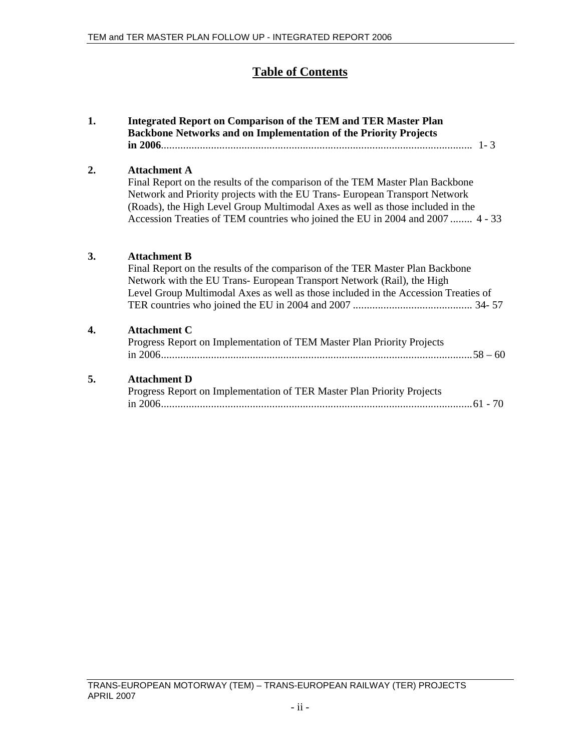### **Table of Contents**

| 1. | Integrated Report on Comparison of the TEM and TER Master Plan<br><b>Backbone Networks and on Implementation of the Priority Projects</b>                                                                                                                                                                                                               |
|----|---------------------------------------------------------------------------------------------------------------------------------------------------------------------------------------------------------------------------------------------------------------------------------------------------------------------------------------------------------|
| 2. | <b>Attachment A</b><br>Final Report on the results of the comparison of the TEM Master Plan Backbone<br>Network and Priority projects with the EU Trans- European Transport Network<br>(Roads), the High Level Group Multimodal Axes as well as those included in the<br>Accession Treaties of TEM countries who joined the EU in 2004 and 2007  4 - 33 |
| 3. | <b>Attachment B</b><br>Final Report on the results of the comparison of the TER Master Plan Backbone<br>Network with the EU Trans- European Transport Network (Rail), the High<br>Level Group Multimodal Axes as well as those included in the Accession Treaties of                                                                                    |
| 4. | <b>Attachment C</b><br>Progress Report on Implementation of TEM Master Plan Priority Projects                                                                                                                                                                                                                                                           |
| 5. | <b>Attachment D</b><br>Progress Report on Implementation of TER Master Plan Priority Projects                                                                                                                                                                                                                                                           |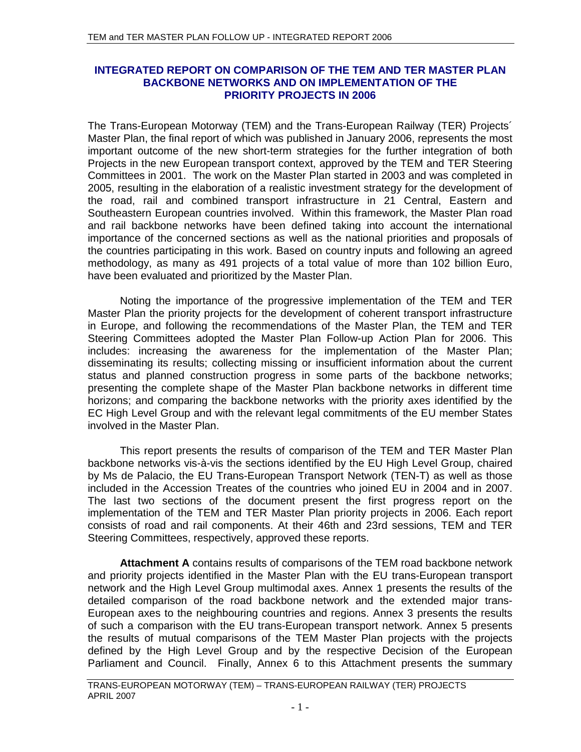### **INTEGRATED REPORT ON COMPARISON OF THE TEM AND TER MASTER PLAN BACKBONE NETWORKS AND ON IMPLEMENTATION OF THE PRIORITY PROJECTS IN 2006**

The Trans-European Motorway (TEM) and the Trans-European Railway (TER) Projects´ Master Plan, the final report of which was published in January 2006, represents the most important outcome of the new short-term strategies for the further integration of both Projects in the new European transport context, approved by the TEM and TER Steering Committees in 2001. The work on the Master Plan started in 2003 and was completed in 2005, resulting in the elaboration of a realistic investment strategy for the development of the road, rail and combined transport infrastructure in 21 Central, Eastern and Southeastern European countries involved. Within this framework, the Master Plan road and rail backbone networks have been defined taking into account the international importance of the concerned sections as well as the national priorities and proposals of the countries participating in this work. Based on country inputs and following an agreed methodology, as many as 491 projects of a total value of more than 102 billion Euro, have been evaluated and prioritized by the Master Plan.

Noting the importance of the progressive implementation of the TEM and TER Master Plan the priority projects for the development of coherent transport infrastructure in Europe, and following the recommendations of the Master Plan, the TEM and TER Steering Committees adopted the Master Plan Follow-up Action Plan for 2006. This includes: increasing the awareness for the implementation of the Master Plan; disseminating its results; collecting missing or insufficient information about the current status and planned construction progress in some parts of the backbone networks; presenting the complete shape of the Master Plan backbone networks in different time horizons; and comparing the backbone networks with the priority axes identified by the EC High Level Group and with the relevant legal commitments of the EU member States involved in the Master Plan.

This report presents the results of comparison of the TEM and TER Master Plan backbone networks vis-à-vis the sections identified by the EU High Level Group, chaired by Ms de Palacio, the EU Trans-European Transport Network (TEN-T) as well as those included in the Accession Treates of the countries who joined EU in 2004 and in 2007. The last two sections of the document present the first progress report on the implementation of the TEM and TER Master Plan priority projects in 2006. Each report consists of road and rail components. At their 46th and 23rd sessions, TEM and TER Steering Committees, respectively, approved these reports.

**Attachment A** contains results of comparisons of the TEM road backbone network and priority projects identified in the Master Plan with the EU trans-European transport network and the High Level Group multimodal axes. Annex 1 presents the results of the detailed comparison of the road backbone network and the extended major trans-European axes to the neighbouring countries and regions. Annex 3 presents the results of such a comparison with the EU trans-European transport network. Annex 5 presents the results of mutual comparisons of the TEM Master Plan projects with the projects defined by the High Level Group and by the respective Decision of the European Parliament and Council. Finally, Annex 6 to this Attachment presents the summary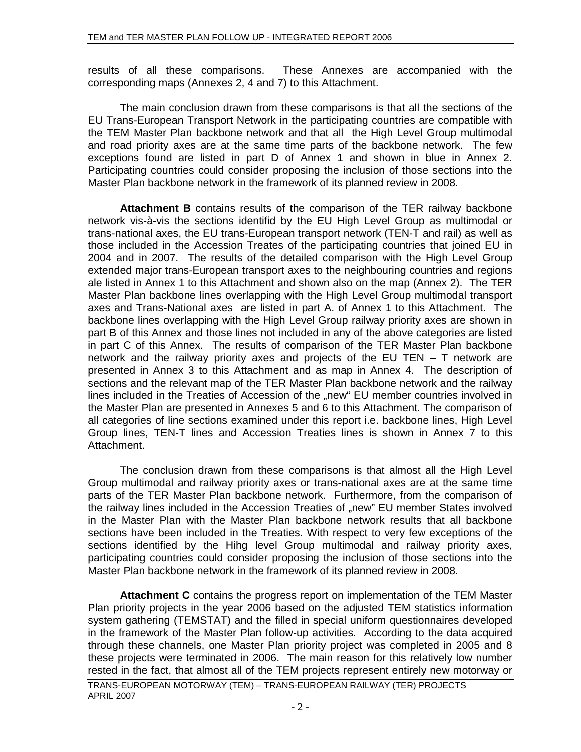results of all these comparisons. These Annexes are accompanied with the corresponding maps (Annexes 2, 4 and 7) to this Attachment.

The main conclusion drawn from these comparisons is that all the sections of the EU Trans-European Transport Network in the participating countries are compatible with the TEM Master Plan backbone network and that all the High Level Group multimodal and road priority axes are at the same time parts of the backbone network. The few exceptions found are listed in part D of Annex 1 and shown in blue in Annex 2. Participating countries could consider proposing the inclusion of those sections into the Master Plan backbone network in the framework of its planned review in 2008.

**Attachment B** contains results of the comparison of the TER railway backbone network vis-à-vis the sections identifid by the EU High Level Group as multimodal or trans-national axes, the EU trans-European transport network (TEN-T and rail) as well as those included in the Accession Treates of the participating countries that joined EU in 2004 and in 2007. The results of the detailed comparison with the High Level Group extended major trans-European transport axes to the neighbouring countries and regions ale listed in Annex 1 to this Attachment and shown also on the map (Annex 2). The TER Master Plan backbone lines overlapping with the High Level Group multimodal transport axes and Trans-National axes are listed in part A. of Annex 1 to this Attachment. The backbone lines overlapping with the High Level Group railway priority axes are shown in part B of this Annex and those lines not included in any of the above categories are listed in part C of this Annex. The results of comparison of the TER Master Plan backbone network and the railway priority axes and projects of the EU TEN – T network are presented in Annex 3 to this Attachment and as map in Annex 4. The description of sections and the relevant map of the TER Master Plan backbone network and the railway lines included in the Treaties of Accession of the "new" EU member countries involved in the Master Plan are presented in Annexes 5 and 6 to this Attachment. The comparison of all categories of line sections examined under this report i.e. backbone lines, High Level Group lines, TEN-T lines and Accession Treaties lines is shown in Annex 7 to this Attachment.

The conclusion drawn from these comparisons is that almost all the High Level Group multimodal and railway priority axes or trans-national axes are at the same time parts of the TER Master Plan backbone network. Furthermore, from the comparison of the railway lines included in the Accession Treaties of "new" EU member States involved in the Master Plan with the Master Plan backbone network results that all backbone sections have been included in the Treaties. With respect to very few exceptions of the sections identified by the Hihg level Group multimodal and railway priority axes, participating countries could consider proposing the inclusion of those sections into the Master Plan backbone network in the framework of its planned review in 2008.

**Attachment C** contains the progress report on implementation of the TEM Master Plan priority projects in the year 2006 based on the adjusted TEM statistics information system gathering (TEMSTAT) and the filled in special uniform questionnaires developed in the framework of the Master Plan follow-up activities. According to the data acquired through these channels, one Master Plan priority project was completed in 2005 and 8 these projects were terminated in 2006. The main reason for this relatively low number rested in the fact, that almost all of the TEM projects represent entirely new motorway or